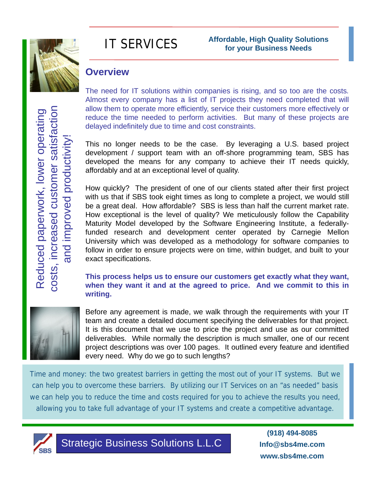

# IT SERVICES

## **Overview**

costs, increased customer satisfaction Reduced paperwork, lower operating costs, increased customer satisfaction Reduced paperwork, lower operating and improved productivity! and improved productivity

The need for IT solutions within companies is rising, and so too are the costs*.* Almost every company has a list of IT projects they need completed that will allow them to operate more efficiently, service their customers more effectively or reduce the time needed to perform activities. But many of these projects are delayed indefinitely due to time and cost constraints.

This no longer needs to be the case. By leveraging a U.S. based project development / support team with an off-shore programming team, SBS has developed the means for any company to achieve their IT needs quickly, affordably and at an exceptional level of quality.

How quickly? The president of one of our clients stated after their first project with us that if SBS took eight times as long to complete a project, we would still be a great deal. How affordable? SBS is less than half the current market rate. How exceptional is the level of quality? We meticulously follow the Capability Maturity Model developed by the Software Engineering Institute, a federallyfunded research and development center operated by Carnegie Mellon University which was developed as a methodology for software companies to follow in order to ensure projects were on time, within budget, and built to your exact specifications.

**This process helps us to ensure our customers get exactly what they want, when they want it and at the agreed to price. And we commit to this in writing.**



Before any agreement is made, we walk through the requirements with your IT team and create a detailed document specifying the deliverables for that project. It is this document that we use to price the project and use as our committed deliverables. While normally the description is much smaller, one of our recent project descriptions was over 100 pages. It outlined every feature and identified every need. Why do we go to such lengths?

Time and money: the two greatest barriers in getting the most out of your IT systems. But we can help you to overcome these barriers. By utilizing our IT Services on an "as needed" basis we can help you to reduce the time and costs required for you to achieve the results you need, allowing you to take full advantage of your IT systems and create a competitive advantage.



Strategic Business Solutions L.L.C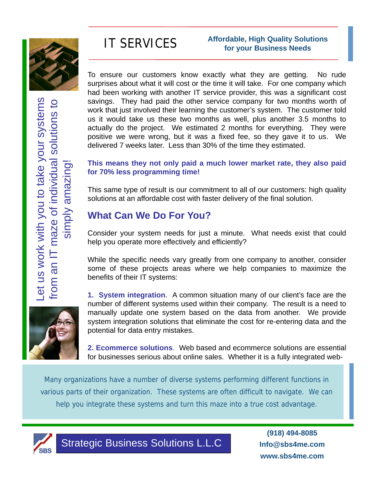

### IT SERVICES **Affordable, High Quality Solutions for your Business Needs**

To ensure our customers know exactly what they are getting. No rude surprises about what it will cost or the time it will take. For one company which had been working with another IT service provider, this was a significant cost savings. They had paid the other service company for two months worth of work that just involved their learning the customer's system. The customer told us it would take us these two months as well, plus another 3.5 months to actually do the project. We estimated 2 months for everything. They were positive we were wrong, but it was a fixed fee, so they gave it to us. We delivered 7 weeks later. Less than 30% of the time they estimated.

**This means they not only paid a much lower market rate, they also paid for 70% less programming time!**

This same type of result is our commitment to all of our customers: high quality solutions at an affordable cost with faster delivery of the final solution.

## **What Can We Do For You?**

Consider your system needs for just a minute. What needs exist that could help you operate more effectively and efficiently?

While the specific needs vary greatly from one company to another, consider some of these projects areas where we help companies to maximize the benefits of their IT systems:

**1. System integration**. A common situation many of our client's face are the number of different systems used within their company. The result is a need to manually update one system based on the data from another. We provide system integration solutions that eliminate the cost for re-entering data and the potential for data entry mistakes.

**2. Ecommerce solutions**. Web based and ecommerce solutions are essential for businesses serious about online sales. Whether it is a fully integrated web-

Many organizations have a number of diverse systems performing different functions in various parts of their organization. These systems are often difficult to navigate. We can help you integrate these systems and turn this maze into a true cost advantage.



Strategic Business Solutions L.L.C

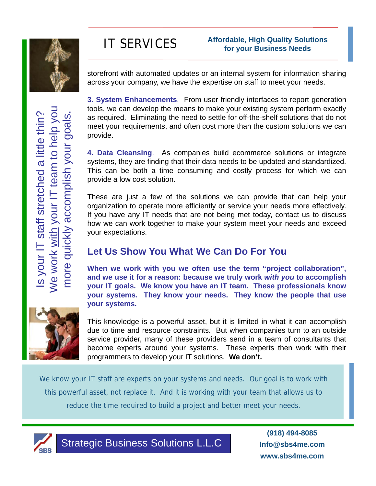

Is your IT staff stretched a little thin?

Is your IT staff stretched a little thin?

We work with your IT team to help you

Ne work with your IT team to help you

more quickly accomplish your goals.

more quickly accomplish your goals.

## IT SERVICES **Affordable, High Quality Solutions for your Business Needs**

storefront with automated updates or an internal system for information sharing across your company, we have the expertise on staff to meet your needs.

**3. System Enhancements**. From user friendly interfaces to report generation tools, we can develop the means to make your existing system perform exactly as required. Eliminating the need to settle for off-the-shelf solutions that do not meet your requirements, and often cost more than the custom solutions we can provide.

**4. Data Cleansing**. As companies build ecommerce solutions or integrate systems, they are finding that their data needs to be updated and standardized. This can be both a time consuming and costly process for which we can provide a low cost solution.

These are just a few of the solutions we can provide that can help your organization to operate more efficiently or service your needs more effectively. If you have any IT needs that are not being met today, contact us to discuss how we can work together to make your system meet your needs and exceed your expectations.

## **Let Us Show You What We Can Do For You**

**When we work with you we often use the term "project collaboration", and we use it for a reason: because we truly work** *with you* **to accomplish your IT goals. We know you have an IT team. These professionals know your systems. They know your needs. They know the people that use your systems.**



This knowledge is a powerful asset, but it is limited in what it can accomplish due to time and resource constraints. But when companies turn to an outside service provider, many of these providers send in a team of consultants that become experts around your systems. These experts then work with their programmers to develop your IT solutions. **We don't.**

We know your IT staff are experts on your systems and needs. Our goal is to work with this powerful asset, not replace it. And it is working with your team that allows us to reduce the time required to build a project and better meet your needs.



Strategic Business Solutions L.L.C